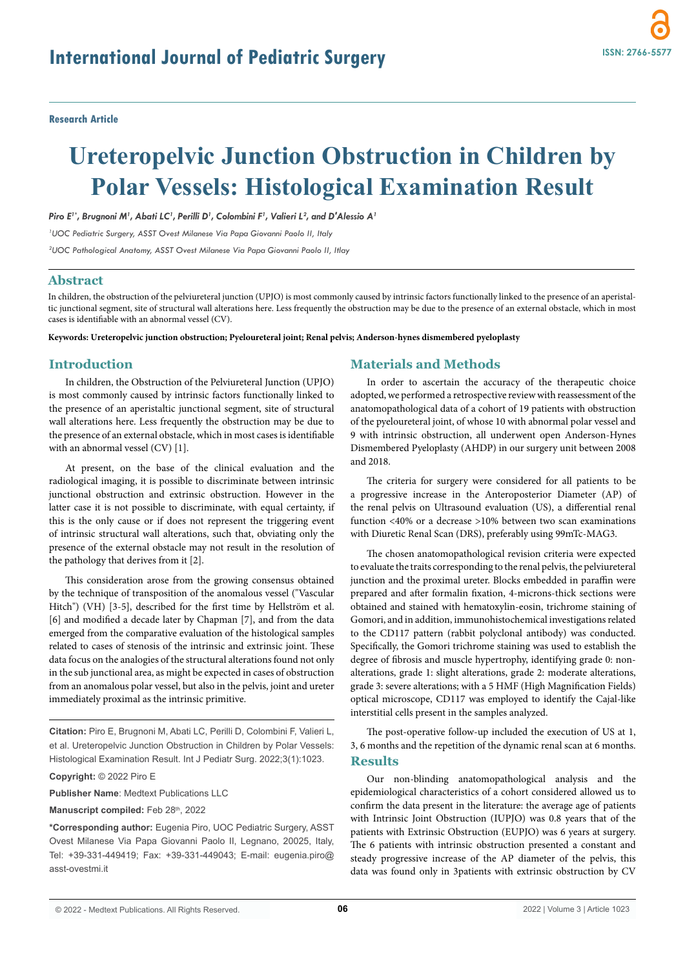**Research Article**

# **Ureteropelvic Junction Obstruction in Children by Polar Vessels: Histological Examination Result**

*Piro E1\*, Brugnoni M1 , Abati LC1 , Perilli D1 , Colombini F1 , Valieri L2 , and D'Alessio A1*

*1 UOC Pediatric Surgery, ASST Ovest Milanese Via Papa Giovanni Paolo II, Italy*

*2 UOC Pathological Anatomy, ASST Ovest Milanese Via Papa Giovanni Paolo II, Itlay*

## **Abstract**

In children, the obstruction of the pelviureteral junction (UPJO) is most commonly caused by intrinsic factors functionally linked to the presence of an aperistaltic junctional segment, site of structural wall alterations here. Less frequently the obstruction may be due to the presence of an external obstacle, which in most cases is identifiable with an abnormal vessel (CV).

**Keywords: Ureteropelvic junction obstruction; Pyeloureteral joint; Renal pelvis; Anderson-hynes dismembered pyeloplasty**

#### **Introduction**

In children, the Obstruction of the Pelviureteral Junction (UPJO) is most commonly caused by intrinsic factors functionally linked to the presence of an aperistaltic junctional segment, site of structural wall alterations here. Less frequently the obstruction may be due to the presence of an external obstacle, which in most cases is identifiable with an abnormal vessel (CV) [1].

At present, on the base of the clinical evaluation and the radiological imaging, it is possible to discriminate between intrinsic junctional obstruction and extrinsic obstruction. However in the latter case it is not possible to discriminate, with equal certainty, if this is the only cause or if does not represent the triggering event of intrinsic structural wall alterations, such that, obviating only the presence of the external obstacle may not result in the resolution of the pathology that derives from it [2].

This consideration arose from the growing consensus obtained by the technique of transposition of the anomalous vessel ("Vascular Hitch") (VH) [3-5], described for the first time by Hellström et al. [6] and modified a decade later by Chapman [7], and from the data emerged from the comparative evaluation of the histological samples related to cases of stenosis of the intrinsic and extrinsic joint. These data focus on the analogies of the structural alterations found not only in the sub junctional area, as might be expected in cases of obstruction from an anomalous polar vessel, but also in the pelvis, joint and ureter immediately proximal as the intrinsic primitive.

**Citation:** Piro E, Brugnoni M, Abati LC, Perilli D, Colombini F, Valieri L, et al. Ureteropelvic Junction Obstruction in Children by Polar Vessels: Histological Examination Result. Int J Pediatr Surg. 2022;3(1):1023.

**Copyright:** © 2022 Piro E

**Publisher Name**: Medtext Publications LLC

Manuscript compiled: Feb 28<sup>th</sup>, 2022

**\*Corresponding author:** Eugenia Piro, UOC Pediatric Surgery, ASST Ovest Milanese Via Papa Giovanni Paolo II, Legnano, 20025, Italy, Tel: +39-331-449419; Fax: +39-331-449043; E-mail: eugenia.piro@ asst-ovestmi.it

## **Materials and Methods**

In order to ascertain the accuracy of the therapeutic choice adopted, we performed a retrospective review with reassessment of the anatomopathological data of a cohort of 19 patients with obstruction of the pyeloureteral joint, of whose 10 with abnormal polar vessel and 9 with intrinsic obstruction, all underwent open Anderson-Hynes Dismembered Pyeloplasty (AHDP) in our surgery unit between 2008 and 2018.

The criteria for surgery were considered for all patients to be a progressive increase in the Anteroposterior Diameter (AP) of the renal pelvis on Ultrasound evaluation (US), a differential renal function <40% or a decrease >10% between two scan examinations with Diuretic Renal Scan (DRS), preferably using 99mTc-MAG3.

The chosen anatomopathological revision criteria were expected to evaluate the traits corresponding to the renal pelvis, the pelviureteral junction and the proximal ureter. Blocks embedded in paraffin were prepared and after formalin fixation, 4-microns-thick sections were obtained and stained with hematoxylin-eosin, trichrome staining of Gomori, and in addition, immunohistochemical investigations related to the CD117 pattern (rabbit polyclonal antibody) was conducted. Specifically, the Gomori trichrome staining was used to establish the degree of fibrosis and muscle hypertrophy, identifying grade 0: nonalterations, grade 1: slight alterations, grade 2: moderate alterations, grade 3: severe alterations; with a 5 HMF (High Magnification Fields) optical microscope, CD117 was employed to identify the Cajal-like interstitial cells present in the samples analyzed.

The post-operative follow-up included the execution of US at 1, 3, 6 months and the repetition of the dynamic renal scan at 6 months. **Results**

Our non-blinding anatomopathological analysis and the epidemiological characteristics of a cohort considered allowed us to confirm the data present in the literature: the average age of patients with Intrinsic Joint Obstruction (IUPJO) was 0.8 years that of the patients with Extrinsic Obstruction (EUPJO) was 6 years at surgery. The 6 patients with intrinsic obstruction presented a constant and steady progressive increase of the AP diameter of the pelvis, this data was found only in 3patients with extrinsic obstruction by CV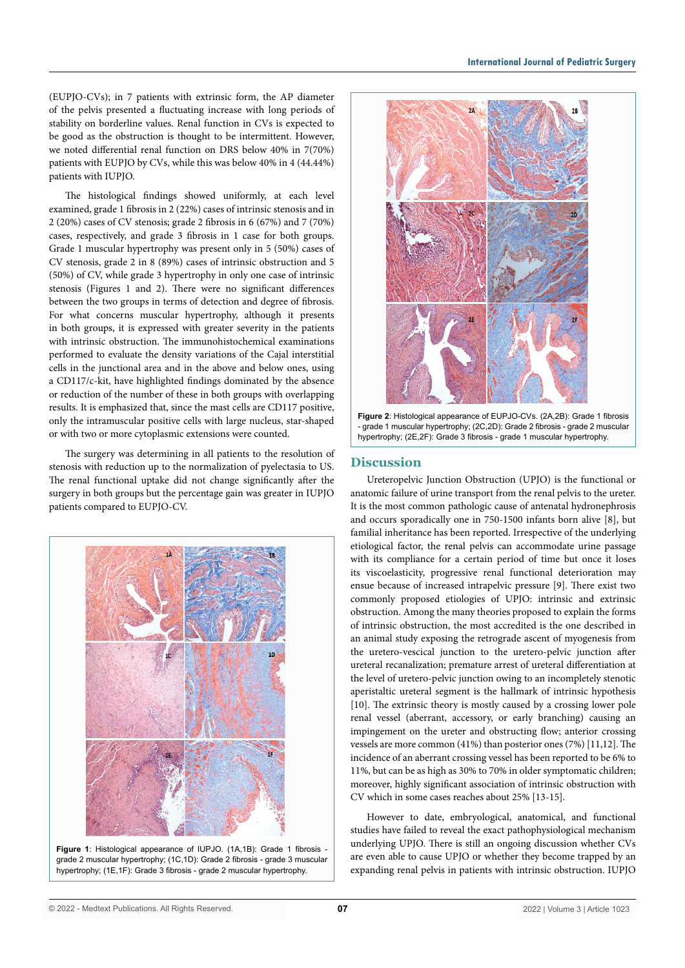(EUPJO-CVs); in 7 patients with extrinsic form, the AP diameter of the pelvis presented a fluctuating increase with long periods of stability on borderline values. Renal function in CVs is expected to be good as the obstruction is thought to be intermittent. However, we noted differential renal function on DRS below 40% in 7(70%) patients with EUPJO by CVs, while this was below 40% in 4 (44.44%) patients with IUPJO.

The histological findings showed uniformly, at each level examined, grade 1 fibrosis in 2 (22%) cases of intrinsic stenosis and in 2 (20%) cases of CV stenosis; grade 2 fibrosis in 6 (67%) and 7 (70%) cases, respectively, and grade 3 fibrosis in 1 case for both groups. Grade 1 muscular hypertrophy was present only in 5 (50%) cases of CV stenosis, grade 2 in 8 (89%) cases of intrinsic obstruction and 5 (50%) of CV, while grade 3 hypertrophy in only one case of intrinsic stenosis (Figures 1 and 2). There were no significant differences between the two groups in terms of detection and degree of fibrosis. For what concerns muscular hypertrophy, although it presents in both groups, it is expressed with greater severity in the patients with intrinsic obstruction. The immunohistochemical examinations performed to evaluate the density variations of the Cajal interstitial cells in the junctional area and in the above and below ones, using a CD117/c-kit, have highlighted findings dominated by the absence or reduction of the number of these in both groups with overlapping results. It is emphasized that, since the mast cells are CD117 positive, only the intramuscular positive cells with large nucleus, star-shaped or with two or more cytoplasmic extensions were counted.

The surgery was determining in all patients to the resolution of stenosis with reduction up to the normalization of pyelectasia to US. The renal functional uptake did not change significantly after the surgery in both groups but the percentage gain was greater in IUPJO patients compared to EUPJO-CV.







**Figure 2**: Histological appearance of EUPJO-CVs. (2A,2B): Grade 1 fibrosis - grade 1 muscular hypertrophy; (2C,2D): Grade 2 fibrosis - grade 2 muscular hypertrophy; (2E,2F): Grade 3 fibrosis - grade 1 muscular hypertrophy.

# **Discussion**

Ureteropelvic Junction Obstruction (UPJO) is the functional or anatomic failure of urine transport from the renal pelvis to the ureter. It is the most common pathologic cause of antenatal hydronephrosis and occurs sporadically one in 750-1500 infants born alive [8], but familial inheritance has been reported. Irrespective of the underlying etiological factor, the renal pelvis can accommodate urine passage with its compliance for a certain period of time but once it loses its viscoelasticity, progressive renal functional deterioration may ensue because of increased intrapelvic pressure [9]. There exist two commonly proposed etiologies of UPJO: intrinsic and extrinsic obstruction. Among the many theories proposed to explain the forms of intrinsic obstruction, the most accredited is the one described in an animal study exposing the retrograde ascent of myogenesis from the uretero-vescical junction to the uretero-pelvic junction after ureteral recanalization; premature arrest of ureteral differentiation at the level of uretero-pelvic junction owing to an incompletely stenotic aperistaltic ureteral segment is the hallmark of intrinsic hypothesis [10]. The extrinsic theory is mostly caused by a crossing lower pole renal vessel (aberrant, accessory, or early branching) causing an impingement on the ureter and obstructing flow; anterior crossing vessels are more common (41%) than posterior ones (7%) [11,12]. The incidence of an aberrant crossing vessel has been reported to be 6% to 11%, but can be as high as 30% to 70% in older symptomatic children; moreover, highly significant association of intrinsic obstruction with CV which in some cases reaches about 25% [13-15].

However to date, embryological, anatomical, and functional studies have failed to reveal the exact pathophysiological mechanism underlying UPJO. There is still an ongoing discussion whether CVs are even able to cause UPJO or whether they become trapped by an expanding renal pelvis in patients with intrinsic obstruction. IUPJO